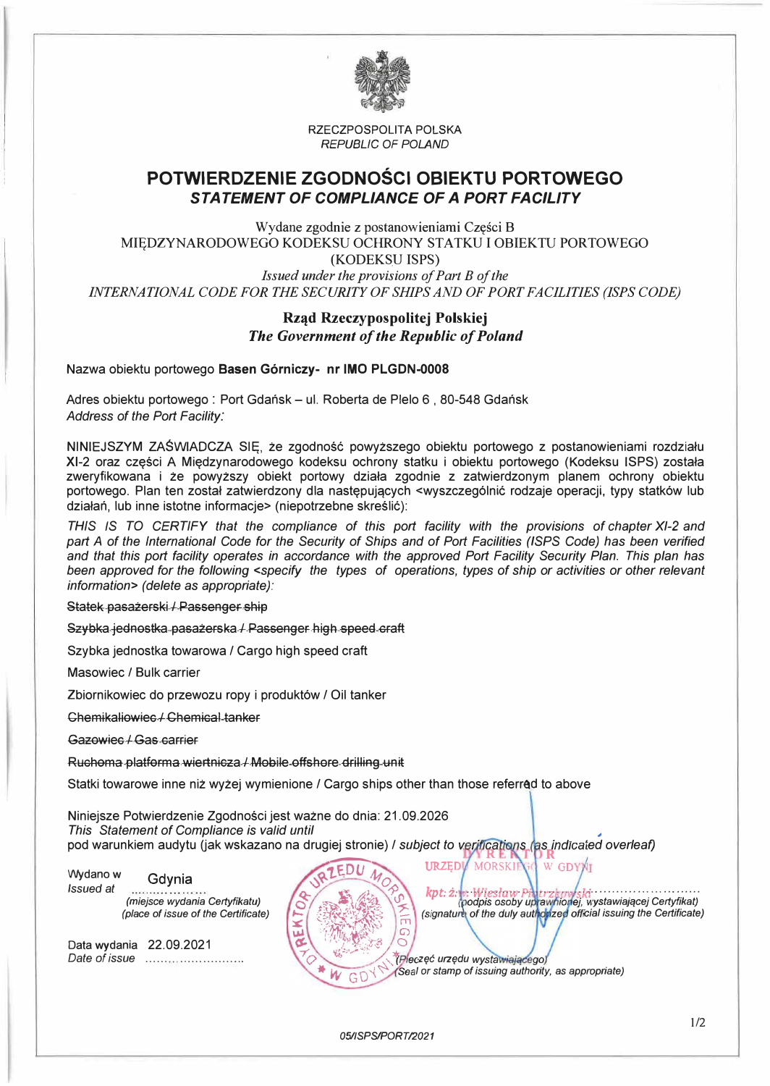

RZECZPOSPOLITA POLSKA *REPUBLIC OF POLAND* 

# **POTWIERDZENIE ZGODNOŚCI OBIEKTU PORTOWEGO**  *STATEMENT OF COMPLIANCE OF A PORT FAC/LITY*

Wydane zgodnie z postanowieniami Części B MIĘDZYNARODOWEGO KODEKSU OCHRONY STATKU I OBIEKTU PORTOWEGO (KODEKSU ISPS) *INTERNATIONAL CODE FOR THE SECURITY OF SHIPS AND OF PORT FACILITIES (ISPS CODE) Issued under the provisions of Part B of the* 

### **Rząd Rzeczypospolitej Polskiej**  *The Government of the Republic of Poland*

Nazwa obiektu portowego **Basen Górniczy- nr IMO PLGDN-0008** 

Adres obiektu portowego : Port Gdańsk - ul. Roberta de Plelo 6, 80-548 Gdańsk *Address of the Port Facility:* 

NINIEJSZYM ZAŚWIADCZA SIĘ, że zgodność powyższego obiektu portowego z postanowieniami rozdziału Xl-2 oraz części A Międzynarodowego kodeksu ochrony statku i obiektu portowego (Kodeksu ISPS) została zweryfikowana i że powyższy obiekt portowy działa zgodnie z zatwierdzonym planem ochrony obiektu portowego. Plan ten został zatwierdzony dla następujących <wyszczególnić rodzaje operacji, typy statków lub działań, lub inne istotne informacje> (niepotrzebne skreślić):

*THIS* IS *TO CERTIFY that the compliance of this port facility with the provisions of chapter Xl-2 and part A of the International Code for the Security of Ships and of Port Facilities (ISPS Code) has been verified and that this port facility operates in accordance with the approved Port Facility Security Plan. This plan has been approved for the following <specify the types of operations, types of ship or activities or other relevant information> (delete as appropriate):* 

Statek pasażerski / Passenger ship

Szybka jednostka pasażerska/ Passenger high speed eraft

Szybka jednostka towarowa / Cargo high speed craft

Masowiec *I* Bulk carrier

Zbiornikowiec do przewozu ropy i produktów/ Oil tanker

Chemikaliowiee ! Chemieal tanker

Gazowiee *I* Gas earrier

Ruchoma platforma wiertnicza / Mobile offshore drilling unit

Statki towarowe inne niż wyżej wymienione / Cargo ships other than those referred to above

Niniejsze Potwierdzenie Zgodności jest ważne do dnia: 21.09.2026 *This Statement of Compliance is va/id until* 

pod warunkiem audytu Uak wskazano na drugiej stronie)/ *subject to 'ed overleaf)* 

G

Wydano w *lssued at*  Gdynia *(miejsce wydania Certyfikatu) (place of issue of the Certificate)* 

Data wydania 22.09.2021 *Date of issue* ........ \_ ...... .......... .



*�* 

W GDY)

*zec urzędu wystawiającegoj (Seal or stamp of issuing authority, as appropriate)* 

MORSKI

 $URZED$ 

*05/ISPS/PORT/2021*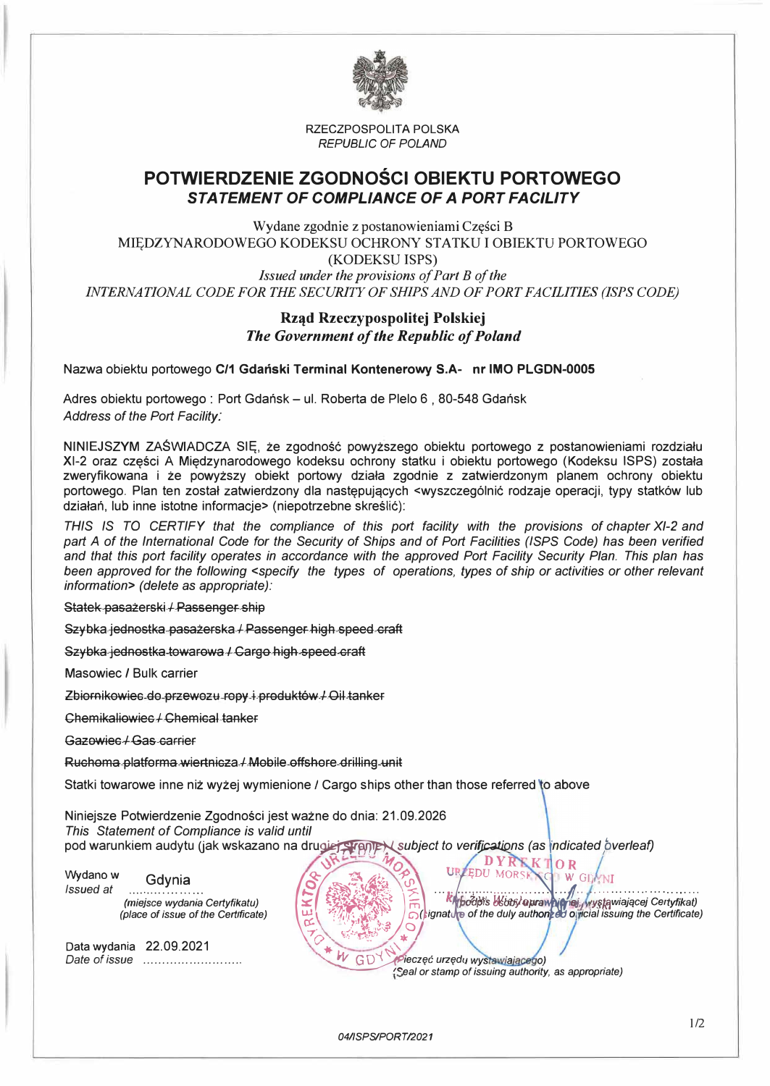

RZECZPOSPOLITA POLSKA *REPUBLIC OF POLAND* 

# **POTWIERDZENIE ZGODNOŚCI OBIEKTU PORTOWEGO**  *STATEMENT OF COMPLIANCE OF A PORT FAC/LITY*

Wydane zgodnie z postanowieniami Części B MIĘDZYNARODOWEGO KODEKSU OCHRONY STATKU I OBIEKTU PORTOWEGO (KODEKSlJ ISPS) *INTERNATIONAL CODE FOR THE SECURITY OF SHIPS AND OF PORT FACILITIES (ISPS CODE) Jssued under the provisions of Part B of the* 

### **Rząd Rzeczypospolitej Polskiej**  *The Government of the Republic of Poland*

Nazwa obiektu portowego **C/1 Gdański Terminal Kontenerowy S.A- nr IMO PLGDN-0005**

Adres obiektu portowego : Port Gdańsk - ul. Roberta de Plelo 6, 80-548 Gdańsk *Address of the Port Facility:* 

NINIEJSZYM ZAŚWIADCZA SIĘ, że zgodność powyższego obiektu portowego z postanowieniami rozdziału Xl-2 oraz części A Międzynarodowego kodeksu ochrony statku i obiektu portowego (Kodeksu ISPS) została zweryfikowana i że powyższy obiekt portowy działa zgodnie z zatwierdzonym planem ochrony obiektu portowego. Plan ten został zatwierdzony dla następujących <wyszczególnić rodzaje operacji, typy statków lub działań, lub inne istotne informacje> (niepotrzebne skreślić}:

*THIS IS TO CERTIFY that the compliance of this port facility with the provisions of chapter Xl-2 and part A of the International Code for the Security of Ships and of Port Facilities (ISPS Code) has been verified and that this port facility operates in accordance with the approved Port Facility Security Plan. This plan has been approved for the following <specify the types of operations, types of ship or activities or other relevant information> (delete as appropriate):* 

Statek pasażerski / Passenger ship

Szybka jednostka pasażerska/ Passenger high speed craft

Szybka jednostka towarowa *I* Cargo high speed craft

Masowiec / Bulk carrier

Zbiornikowiec do przewozu ropy i produktów/ Oil tanker

Chemikaliowiec / Chemical tanker

Gazowiec / Gas carrier

Ruchoma platforma wiertnicza/ Mobile offshore drilling unit

Statki towarowe inne niż wyżej wymienione *I* Cargo ships other than those referred

Niniejsze Potwierdzenie Zgodności jest ważne do dnia: 21.09.2026 **This Statement of Compliance is valid until** 

pod warunkiem audytu Uak wskazano na *dru�ubject to verifjl;a.tiQns (as fndicated pverleaf)* 

 $\alpha$  ,  $\alpha$  ,  $\alpha$ 

Data wydania 22.09.2021 *Date of* issue . . . . . . . . . . . . . . . . . . . . . . . . . . "-... *�ieczęć urzęd,* 

This Statement of Compliance is valid until<br>pod warunkiem audytu (jak wskazano na drugiej Ereppe) subject to verifications (as indicated overleaf)<br>Wydano w<br>(subsued at material certyfikatu)<br>(place of issue of the Certifica

*'�eal or stamp of issuing authority,* as *appropriate)*